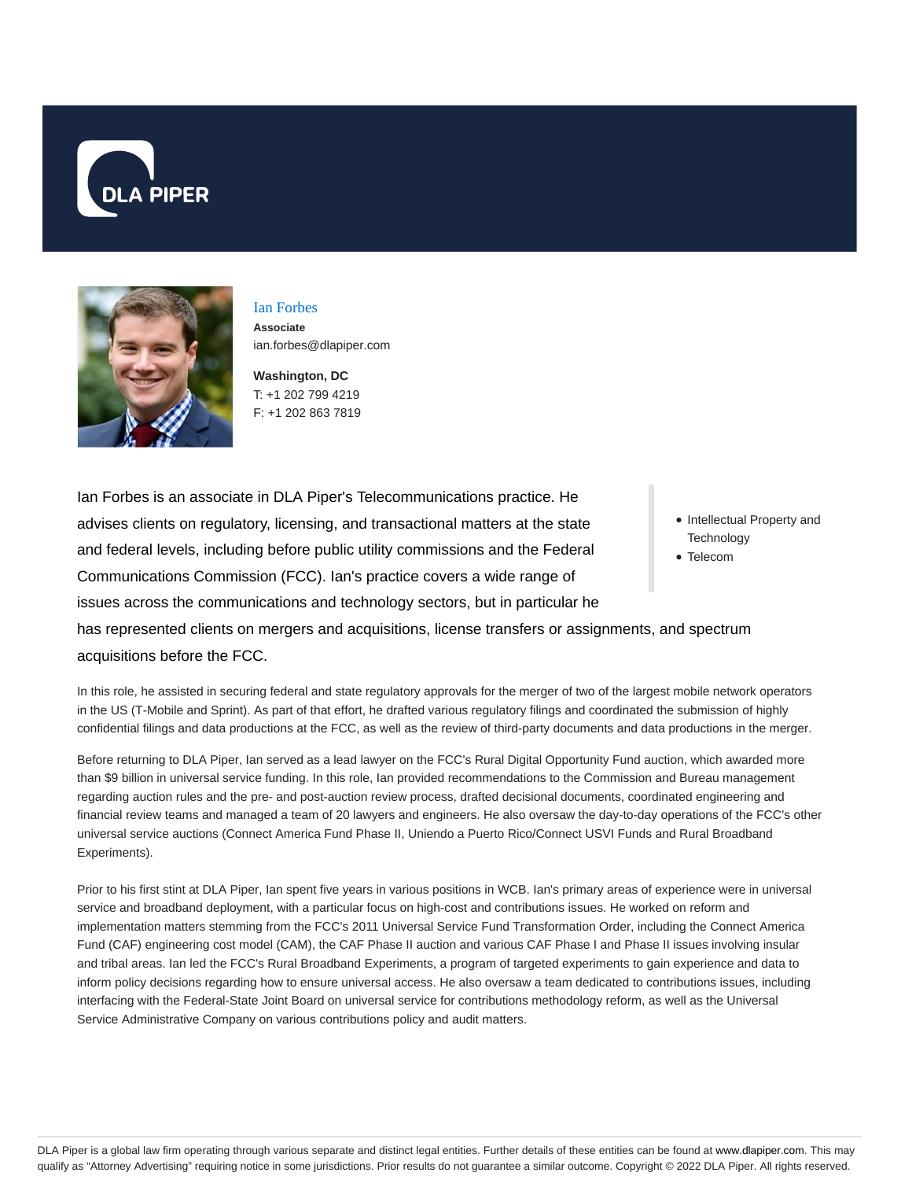



Ian Forbes **Associate** ian.forbes@dlapiper.com

**Washington, DC** T: +1 202 799 4219 F: +1 202 863 7819

Ian Forbes is an associate in DLA Piper's Telecommunications practice. He advises clients on regulatory, licensing, and transactional matters at the state and federal levels, including before public utility commissions and the Federal Communications Commission (FCC). Ian's practice covers a wide range of issues across the communications and technology sectors, but in particular he has represented clients on mergers and acquisitions, license transfers or assignments, and spectrum

- Intellectual Property and **Technology**
- Telecom

acquisitions before the FCC.

In this role, he assisted in securing federal and state regulatory approvals for the merger of two of the largest mobile network operators in the US (T-Mobile and Sprint). As part of that effort, he drafted various regulatory filings and coordinated the submission of highly confidential filings and data productions at the FCC, as well as the review of third-party documents and data productions in the merger.

Before returning to DLA Piper, Ian served as a lead lawyer on the FCC's Rural Digital Opportunity Fund auction, which awarded more than \$9 billion in universal service funding. In this role, Ian provided recommendations to the Commission and Bureau management regarding auction rules and the pre- and post-auction review process, drafted decisional documents, coordinated engineering and financial review teams and managed a team of 20 lawyers and engineers. He also oversaw the day-to-day operations of the FCC's other universal service auctions (Connect America Fund Phase II, Uniendo a Puerto Rico/Connect USVI Funds and Rural Broadband Experiments).

Prior to his first stint at DLA Piper, Ian spent five years in various positions in WCB. Ian's primary areas of experience were in universal service and broadband deployment, with a particular focus on high-cost and contributions issues. He worked on reform and implementation matters stemming from the FCC's 2011 Universal Service Fund Transformation Order, including the Connect America Fund (CAF) engineering cost model (CAM), the CAF Phase II auction and various CAF Phase I and Phase II issues involving insular and tribal areas. Ian led the FCC's Rural Broadband Experiments, a program of targeted experiments to gain experience and data to inform policy decisions regarding how to ensure universal access. He also oversaw a team dedicated to contributions issues, including interfacing with the Federal-State Joint Board on universal service for contributions methodology reform, as well as the Universal Service Administrative Company on various contributions policy and audit matters.

DLA Piper is a global law firm operating through various separate and distinct legal entities. Further details of these entities can be found at www.dlapiper.com. This may qualify as "Attorney Advertising" requiring notice in some jurisdictions. Prior results do not guarantee a similar outcome. Copyright © 2022 DLA Piper. All rights reserved.